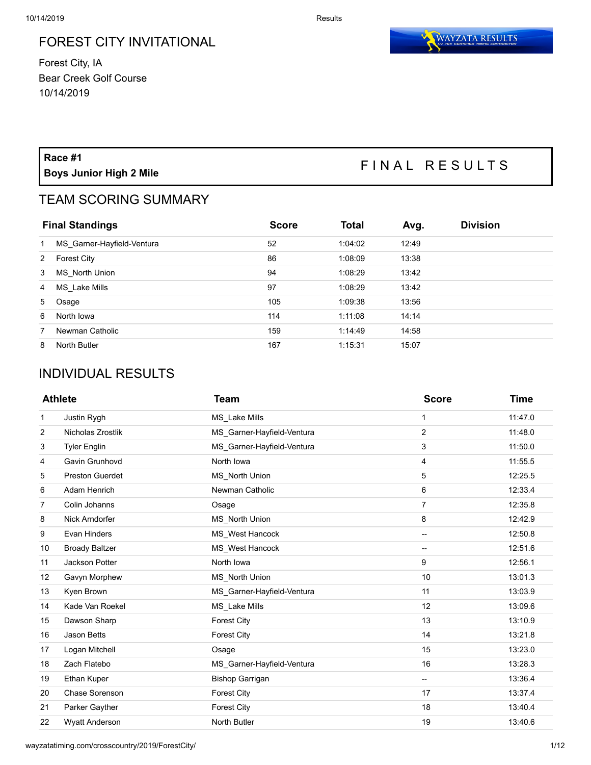#### FOREST CITY INVITATIONAL

Forest City, IA Bear Creek Golf Course 10/14/2019



# **Race #1**

## **Boys Junior High 2 Mile** F I N A L R E S U L T S

### TEAM SCORING SUMMARY

| <b>Final Standings</b> |                            | <b>Score</b> | <b>Total</b> | Avg.  | <b>Division</b> |
|------------------------|----------------------------|--------------|--------------|-------|-----------------|
| 1                      | MS Garner-Hayfield-Ventura | 52           | 1:04:02      | 12:49 |                 |
| 2                      | <b>Forest City</b>         | 86           | 1:08:09      | 13:38 |                 |
| 3                      | MS North Union             | 94           | 1:08:29      | 13:42 |                 |
| 4                      | MS Lake Mills              | 97           | 1:08:29      | 13:42 |                 |
| $5 -$                  | Osage                      | 105          | 1:09:38      | 13:56 |                 |
| 6                      | North Iowa                 | 114          | 1:11:08      | 14:14 |                 |
| 7                      | Newman Catholic            | 159          | 1:14:49      | 14:58 |                 |
| 8                      | North Butler               | 167          | 1:15:31      | 15:07 |                 |

### INDIVIDUAL RESULTS

|                | <b>Athlete</b>         | <b>Team</b>                | <b>Score</b>             | <b>Time</b> |
|----------------|------------------------|----------------------------|--------------------------|-------------|
| 1              | Justin Rygh            | MS Lake Mills              | 1                        | 11:47.0     |
| 2              | Nicholas Zrostlik      | MS_Garner-Hayfield-Ventura | 2                        | 11:48.0     |
| 3              | <b>Tyler Englin</b>    | MS Garner-Hayfield-Ventura | 3                        | 11:50.0     |
| 4              | Gavin Grunhovd         | North Iowa                 | 4                        | 11:55.5     |
| 5              | <b>Preston Guerdet</b> | <b>MS</b> North Union      | 5                        | 12:25.5     |
| 6              | <b>Adam Henrich</b>    | Newman Catholic            | 6                        | 12:33.4     |
| $\overline{7}$ | Colin Johanns          | Osage                      | $\overline{7}$           | 12:35.8     |
| 8              | Nick Arndorfer         | MS North Union             | 8                        | 12:42.9     |
| 9              | Evan Hinders           | MS West Hancock            | --                       | 12:50.8     |
| 10             | <b>Broady Baltzer</b>  | MS West Hancock            | --                       | 12:51.6     |
| 11             | Jackson Potter         | North Iowa                 | 9                        | 12:56.1     |
| 12             | Gavyn Morphew          | <b>MS</b> North Union      | 10                       | 13:01.3     |
| 13             | Kyen Brown             | MS_Garner-Hayfield-Ventura | 11                       | 13:03.9     |
| 14             | Kade Van Roekel        | MS Lake Mills              | 12                       | 13:09.6     |
| 15             | Dawson Sharp           | <b>Forest City</b>         | 13                       | 13:10.9     |
| 16             | Jason Betts            | <b>Forest City</b>         | 14                       | 13:21.8     |
| 17             | Logan Mitchell         | Osage                      | 15                       | 13:23.0     |
| 18             | Zach Flatebo           | MS Garner-Hayfield-Ventura | 16                       | 13:28.3     |
| 19             | Ethan Kuper            | <b>Bishop Garrigan</b>     | $\overline{\phantom{a}}$ | 13:36.4     |
| 20             | Chase Sorenson         | <b>Forest City</b>         | 17                       | 13:37.4     |
| 21             | Parker Gayther         | <b>Forest City</b>         | 18                       | 13:40.4     |
| 22             | <b>Wyatt Anderson</b>  | North Butler               | 19                       | 13:40.6     |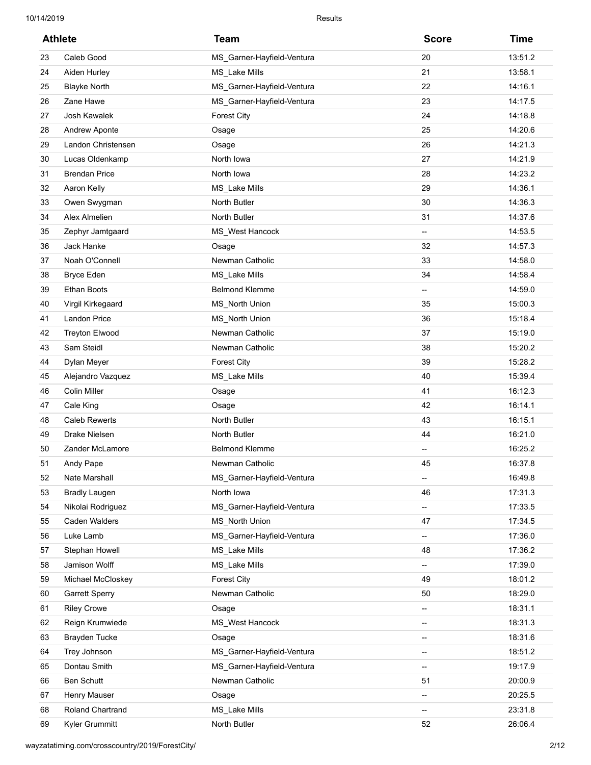| <b>Athlete</b> |                         | <b>Team</b>                | <b>Score</b>             | <b>Time</b> |
|----------------|-------------------------|----------------------------|--------------------------|-------------|
| 23             | Caleb Good              | MS_Garner-Hayfield-Ventura | 20                       | 13:51.2     |
| 24             | Aiden Hurley            | MS_Lake Mills              | 21                       | 13:58.1     |
| 25             | <b>Blayke North</b>     | MS_Garner-Hayfield-Ventura | 22                       | 14:16.1     |
| 26             | Zane Hawe               | MS_Garner-Hayfield-Ventura | 23                       | 14:17.5     |
| 27             | Josh Kawalek            | <b>Forest City</b>         | 24                       | 14:18.8     |
| 28             | Andrew Aponte           | Osage                      | 25                       | 14:20.6     |
| 29             | Landon Christensen      | Osage                      | 26                       | 14:21.3     |
| 30             | Lucas Oldenkamp         | North Iowa                 | 27                       | 14:21.9     |
| 31             | <b>Brendan Price</b>    | North Iowa                 | 28                       | 14:23.2     |
| 32             | Aaron Kelly             | MS_Lake Mills              | 29                       | 14:36.1     |
| 33             | Owen Swygman            | North Butler               | 30                       | 14:36.3     |
| 34             | Alex Almelien           | North Butler               | 31                       | 14:37.6     |
| 35             | Zephyr Jamtgaard        | MS_West Hancock            | $\overline{\phantom{a}}$ | 14:53.5     |
| 36             | Jack Hanke              | Osage                      | 32                       | 14:57.3     |
| 37             | Noah O'Connell          | Newman Catholic            | 33                       | 14:58.0     |
| 38             | <b>Bryce Eden</b>       | MS_Lake Mills              | 34                       | 14:58.4     |
| 39             | <b>Ethan Boots</b>      | <b>Belmond Klemme</b>      | $\overline{\phantom{a}}$ | 14:59.0     |
| 40             | Virgil Kirkegaard       | MS North Union             | 35                       | 15:00.3     |
| 41             | <b>Landon Price</b>     | MS_North Union             | 36                       | 15:18.4     |
| 42             | <b>Treyton Elwood</b>   | Newman Catholic            | 37                       | 15:19.0     |
| 43             | Sam Steidl              | Newman Catholic            | 38                       | 15:20.2     |
| 44             | Dylan Meyer             | <b>Forest City</b>         | 39                       | 15:28.2     |
| 45             | Alejandro Vazquez       | MS_Lake Mills              | 40                       | 15:39.4     |
| 46             | <b>Colin Miller</b>     | Osage                      | 41                       | 16:12.3     |
| 47             | Cale King               | Osage                      | 42                       | 16:14.1     |
| 48             | <b>Caleb Rewerts</b>    | North Butler               | 43                       | 16:15.1     |
| 49             | Drake Nielsen           | North Butler               | 44                       | 16:21.0     |
| 50             | Zander McLamore         | <b>Belmond Klemme</b>      | --                       | 16:25.2     |
| 51             | Andy Pape               | Newman Catholic            | 45                       | 16:37.8     |
| 52             | Nate Marshall           | MS_Garner-Hayfield-Ventura | --                       | 16:49.8     |
| 53             | <b>Bradly Laugen</b>    | North Iowa                 | 46                       | 17:31.3     |
| 54             | Nikolai Rodriguez       | MS_Garner-Hayfield-Ventura | ⊷                        | 17:33.5     |
| 55             | Caden Walders           | MS_North Union             | 47                       | 17:34.5     |
| 56             | Luke Lamb               | MS_Garner-Hayfield-Ventura | --                       | 17:36.0     |
| 57             | Stephan Howell          | MS_Lake Mills              | 48                       | 17:36.2     |
| 58             | Jamison Wolff           | MS_Lake Mills              | --                       | 17:39.0     |
| 59             | Michael McCloskey       | <b>Forest City</b>         | 49                       | 18:01.2     |
| 60             | <b>Garrett Sperry</b>   | Newman Catholic            | 50                       | 18:29.0     |
| 61             | <b>Riley Crowe</b>      | Osage                      | ⊷                        | 18:31.1     |
| 62             | Reign Krumwiede         | MS_West Hancock            | ÷                        | 18:31.3     |
| 63             | <b>Brayden Tucke</b>    | Osage                      | -−                       | 18:31.6     |
| 64             | Trey Johnson            | MS_Garner-Hayfield-Ventura | -−                       | 18:51.2     |
| 65             | Dontau Smith            | MS_Garner-Hayfield-Ventura | --                       | 19:17.9     |
| 66             | Ben Schutt              | Newman Catholic            | 51                       | 20:00.9     |
| 67             | Henry Mauser            | Osage                      | ⊷                        | 20:25.5     |
| 68             | <b>Roland Chartrand</b> | MS_Lake Mills              | ⊷                        | 23:31.8     |
| 69             | Kyler Grummitt          | North Butler               | 52                       | 26:06.4     |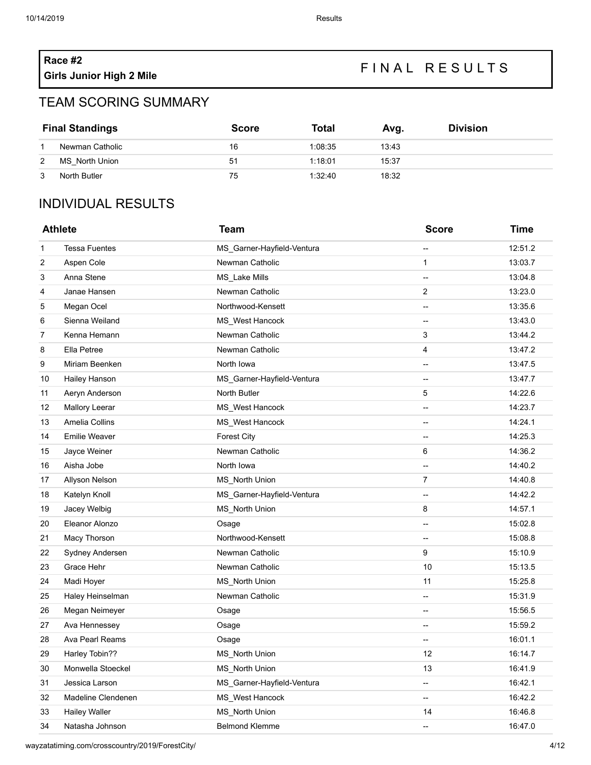# **Race #2**

## **Girls Junior High 2 Mile** FIN AL RESULTS

#### TEAM SCORING SUMMARY

| <b>Final Standings</b> |                 | <b>Score</b> | <b>Total</b> | Avq.  | <b>Division</b> |
|------------------------|-----------------|--------------|--------------|-------|-----------------|
|                        | Newman Catholic | 16           | 1:08:35      | 13:43 |                 |
| 2                      | MS North Union  | 51           | 1:18:01      | 15:37 |                 |
| 3                      | North Butler    | 75           | 1:32:40      | 18:32 |                 |

### INDIVIDUAL RESULTS

| <b>Athlete</b> |                       | <b>Team</b>                | <b>Score</b>             | <b>Time</b> |
|----------------|-----------------------|----------------------------|--------------------------|-------------|
| 1              | <b>Tessa Fuentes</b>  | MS Garner-Hayfield-Ventura | --                       | 12:51.2     |
| 2              | Aspen Cole            | Newman Catholic            | $\mathbf{1}$             | 13:03.7     |
| 3              | Anna Stene            | MS_Lake Mills              | --                       | 13:04.8     |
| 4              | Janae Hansen          | Newman Catholic            | 2                        | 13:23.0     |
| 5              | Megan Ocel            | Northwood-Kensett          | --                       | 13:35.6     |
| 6              | Sienna Weiland        | MS_West Hancock            | --                       | 13:43.0     |
| 7              | Kenna Hemann          | Newman Catholic            | 3                        | 13:44.2     |
| 8              | Ella Petree           | Newman Catholic            | 4                        | 13:47.2     |
| 9              | Miriam Beenken        | North Iowa                 | --                       | 13:47.5     |
| 10             | Hailey Hanson         | MS_Garner-Hayfield-Ventura | --                       | 13:47.7     |
| 11             | Aeryn Anderson        | North Butler               | 5                        | 14:22.6     |
| 12             | <b>Mallory Leerar</b> | MS West Hancock            | --                       | 14:23.7     |
| 13             | Amelia Collins        | MS_West Hancock            | $\overline{\phantom{a}}$ | 14:24.1     |
| 14             | <b>Emilie Weaver</b>  | <b>Forest City</b>         | --                       | 14:25.3     |
| 15             | Jayce Weiner          | Newman Catholic            | 6                        | 14:36.2     |
| 16             | Aisha Jobe            | North Iowa                 | --                       | 14:40.2     |
| 17             | Allyson Nelson        | MS_North Union             | $\overline{7}$           | 14:40.8     |
| 18             | Katelyn Knoll         | MS_Garner-Hayfield-Ventura | $\overline{a}$           | 14:42.2     |
| 19             | Jacey Welbig          | <b>MS</b> North Union      | 8                        | 14:57.1     |
| 20             | Eleanor Alonzo        | Osage                      | --                       | 15:02.8     |
| 21             | Macy Thorson          | Northwood-Kensett          | --                       | 15:08.8     |
| 22             | Sydney Andersen       | Newman Catholic            | 9                        | 15:10.9     |
| 23             | Grace Hehr            | Newman Catholic            | 10                       | 15:13.5     |
| 24             | Madi Hoyer            | MS_North Union             | 11                       | 15:25.8     |
| 25             | Haley Heinselman      | Newman Catholic            | --                       | 15:31.9     |
| 26             | Megan Neimeyer        | Osage                      | $\overline{\phantom{a}}$ | 15:56.5     |
| 27             | Ava Hennessey         | Osage                      | $\overline{\phantom{a}}$ | 15:59.2     |
| 28             | Ava Pearl Reams       | Osage                      | --                       | 16:01.1     |
| 29             | Harley Tobin??        | <b>MS</b> North Union      | 12                       | 16:14.7     |
| 30             | Monwella Stoeckel     | <b>MS</b> North Union      | 13                       | 16:41.9     |
| 31             | Jessica Larson        | MS_Garner-Hayfield-Ventura | --                       | 16:42.1     |
| 32             | Madeline Clendenen    | MS West Hancock            | --                       | 16:42.2     |
| 33             | <b>Hailey Waller</b>  | <b>MS</b> North Union      | 14                       | 16:46.8     |
| 34             | Natasha Johnson       | <b>Belmond Klemme</b>      | $\overline{\phantom{a}}$ | 16:47.0     |

wayzatatiming.com/crosscountry/2019/ForestCity/ 4/12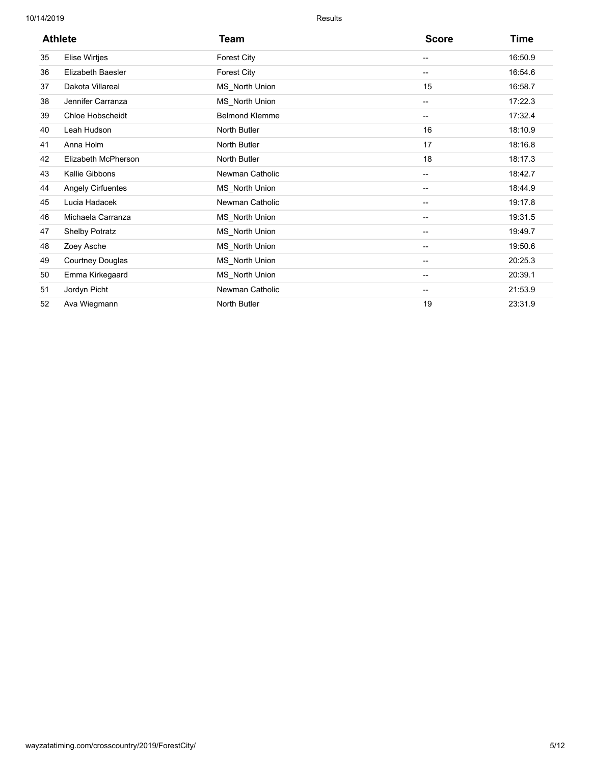| <b>Athlete</b> |                          | Team                  | <b>Score</b>             | Time    |  |
|----------------|--------------------------|-----------------------|--------------------------|---------|--|
| 35             | <b>Elise Wirtjes</b>     | <b>Forest City</b>    | $\overline{\phantom{a}}$ | 16:50.9 |  |
| 36             | <b>Elizabeth Baesler</b> | <b>Forest City</b>    | $\overline{\phantom{a}}$ | 16:54.6 |  |
| 37             | Dakota Villareal         | MS North Union        | 15                       | 16:58.7 |  |
| 38             | Jennifer Carranza        | MS_North Union        | $\overline{\phantom{a}}$ | 17:22.3 |  |
| 39             | Chloe Hobscheidt         | <b>Belmond Klemme</b> | $\overline{\phantom{a}}$ | 17:32.4 |  |
| 40             | Leah Hudson              | North Butler          | 16                       | 18:10.9 |  |
| 41             | Anna Holm                | North Butler          | 17                       | 18:16.8 |  |
| 42             | Elizabeth McPherson      | North Butler          | 18                       | 18:17.3 |  |
| 43             | Kallie Gibbons           | Newman Catholic       | $\overline{\phantom{a}}$ | 18:42.7 |  |
| 44             | <b>Angely Cirfuentes</b> | MS_North Union        | $\overline{\phantom{a}}$ | 18:44.9 |  |
| 45             | Lucia Hadacek            | Newman Catholic       | $\overline{\phantom{a}}$ | 19:17.8 |  |
| 46             | Michaela Carranza        | MS North Union        | --                       | 19:31.5 |  |
| 47             | <b>Shelby Potratz</b>    | MS North Union        | --                       | 19:49.7 |  |
| 48             | Zoey Asche               | MS_North Union        | --                       | 19:50.6 |  |
| 49             | <b>Courtney Douglas</b>  | MS_North Union        | $\overline{\phantom{a}}$ | 20:25.3 |  |
| 50             | Emma Kirkegaard          | MS_North Union        | $\overline{\phantom{a}}$ | 20:39.1 |  |
| 51             | Jordyn Picht             | Newman Catholic       | --                       | 21:53.9 |  |
| 52             | Ava Wiegmann             | <b>North Butler</b>   | 19                       | 23:31.9 |  |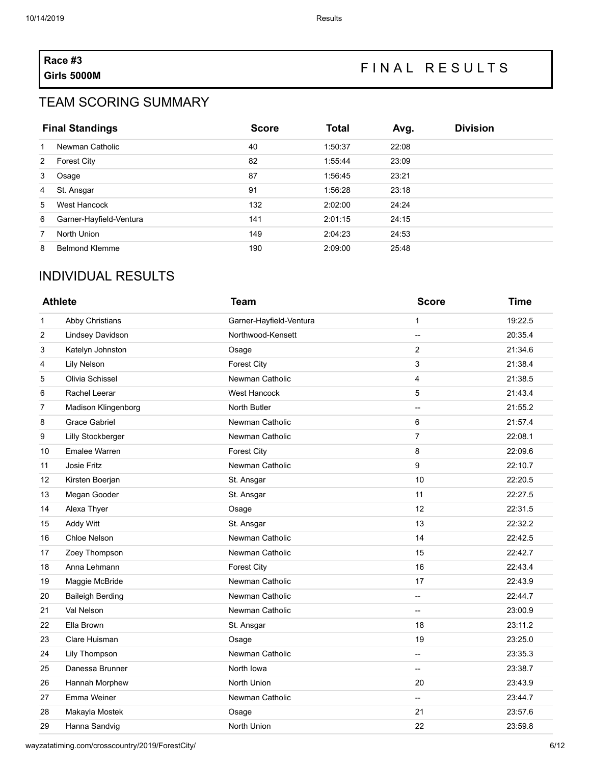# **Race #3**

## **Girls 5000M** <sup>F</sup> <sup>I</sup> <sup>N</sup> <sup>A</sup> <sup>L</sup> <sup>R</sup> <sup>E</sup> <sup>S</sup> <sup>U</sup> <sup>L</sup> <sup>T</sup> <sup>S</sup>

#### TEAM SCORING SUMMARY

| <b>Final Standings</b> |                         | <b>Score</b> | <b>Total</b> | Avg.  | <b>Division</b> |
|------------------------|-------------------------|--------------|--------------|-------|-----------------|
| 1                      | Newman Catholic         | 40           | 1:50:37      | 22:08 |                 |
| 2                      | <b>Forest City</b>      | 82           | 1:55:44      | 23:09 |                 |
| 3                      | Osage                   | 87           | 1:56:45      | 23:21 |                 |
| 4                      | St. Ansgar              | 91           | 1:56:28      | 23:18 |                 |
| 5                      | West Hancock            | 132          | 2:02:00      | 24:24 |                 |
| 6                      | Garner-Hayfield-Ventura | 141          | 2:01:15      | 24:15 |                 |
| 7                      | North Union             | 149          | 2:04:23      | 24:53 |                 |
| 8                      | <b>Belmond Klemme</b>   | 190          | 2:09:00      | 25:48 |                 |

### INDIVIDUAL RESULTS

| <b>Athlete</b> |                          | <b>Team</b>             | <b>Score</b>             | <b>Time</b> |
|----------------|--------------------------|-------------------------|--------------------------|-------------|
| 1              | Abby Christians          | Garner-Hayfield-Ventura | 1                        | 19:22.5     |
| 2              | Lindsey Davidson         | Northwood-Kensett       | -−                       | 20:35.4     |
| 3              | Katelyn Johnston         | Osage                   | 2                        | 21:34.6     |
| 4              | <b>Lily Nelson</b>       | <b>Forest City</b>      | 3                        | 21:38.4     |
| 5              | Olivia Schissel          | Newman Catholic         | 4                        | 21:38.5     |
| 6              | Rachel Leerar            | West Hancock            | 5                        | 21:43.4     |
| $\overline{7}$ | Madison Klingenborg      | North Butler            | --                       | 21:55.2     |
| 8              | <b>Grace Gabriel</b>     | Newman Catholic         | 6                        | 21:57.4     |
| 9              | <b>Lilly Stockberger</b> | Newman Catholic         | $\overline{7}$           | 22:08.1     |
| 10             | <b>Emalee Warren</b>     | <b>Forest City</b>      | 8                        | 22:09.6     |
| 11             | Josie Fritz              | Newman Catholic         | 9                        | 22:10.7     |
| 12             | Kirsten Boerjan          | St. Ansgar              | 10                       | 22:20.5     |
| 13             | Megan Gooder             | St. Ansgar              | 11                       | 22:27.5     |
| 14             | Alexa Thyer              | Osage                   | 12                       | 22:31.5     |
| 15             | <b>Addy Witt</b>         | St. Ansgar              | 13                       | 22:32.2     |
| 16             | Chloe Nelson             | Newman Catholic         | 14                       | 22:42.5     |
| 17             | Zoey Thompson            | Newman Catholic         | 15                       | 22:42.7     |
| 18             | Anna Lehmann             | <b>Forest City</b>      | 16                       | 22:43.4     |
| 19             | Maggie McBride           | Newman Catholic         | 17                       | 22:43.9     |
| 20             | <b>Baileigh Berding</b>  | Newman Catholic         | $\overline{\phantom{0}}$ | 22:44.7     |
| 21             | Val Nelson               | Newman Catholic         | $\overline{\phantom{a}}$ | 23:00.9     |
| 22             | Ella Brown               | St. Ansgar              | 18                       | 23:11.2     |
| 23             | Clare Huisman            | Osage                   | 19                       | 23:25.0     |
| 24             | Lily Thompson            | Newman Catholic         | --                       | 23:35.3     |
| 25             | Danessa Brunner          | North Iowa              | --                       | 23:38.7     |
| 26             | Hannah Morphew           | North Union             | 20                       | 23:43.9     |
| 27             | Emma Weiner              | Newman Catholic         | --                       | 23:44.7     |
| 28             | Makayla Mostek           | Osage                   | 21                       | 23:57.6     |
| 29             | Hanna Sandvig            | North Union             | 22                       | 23:59.8     |

wayzatatiming.com/crosscountry/2019/ForestCity/ 6/12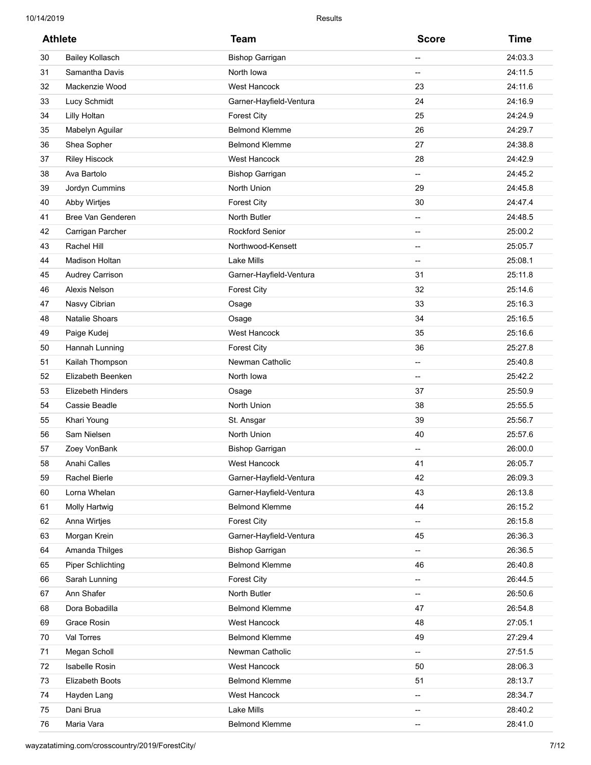| <b>Athlete</b> |                          | <b>Team</b>             | <b>Score</b> | <b>Time</b> |
|----------------|--------------------------|-------------------------|--------------|-------------|
| 30             | <b>Bailey Kollasch</b>   | <b>Bishop Garrigan</b>  | --           | 24:03.3     |
| 31             | Samantha Davis           | North Iowa              | --           | 24:11.5     |
| 32             | Mackenzie Wood           | West Hancock            | 23           | 24:11.6     |
| 33             | Lucy Schmidt             | Garner-Hayfield-Ventura | 24           | 24:16.9     |
| 34             | <b>Lilly Holtan</b>      | <b>Forest City</b>      | 25           | 24:24.9     |
| 35             | Mabelyn Aguilar          | <b>Belmond Klemme</b>   | 26           | 24:29.7     |
| 36             | Shea Sopher              | <b>Belmond Klemme</b>   | 27           | 24:38.8     |
| 37             | <b>Riley Hiscock</b>     | West Hancock            | 28           | 24:42.9     |
| 38             | Ava Bartolo              | <b>Bishop Garrigan</b>  | --           | 24:45.2     |
| 39             | Jordyn Cummins           | North Union             | 29           | 24:45.8     |
| 40             | Abby Wirtjes             | <b>Forest City</b>      | 30           | 24:47.4     |
| 41             | Bree Van Genderen        | North Butler            | --           | 24:48.5     |
| 42             | Carrigan Parcher         | <b>Rockford Senior</b>  | --           | 25:00.2     |
| 43             | Rachel Hill              | Northwood-Kensett       | --           | 25:05.7     |
| 44             | Madison Holtan           | Lake Mills              | --           | 25:08.1     |
| 45             | <b>Audrey Carrison</b>   | Garner-Hayfield-Ventura | 31           | 25:11.8     |
| 46             | Alexis Nelson            | <b>Forest City</b>      | 32           | 25:14.6     |
| 47             | Nasvy Cibrian            | Osage                   | 33           | 25:16.3     |
| 48             | <b>Natalie Shoars</b>    | Osage                   | 34           | 25:16.5     |
| 49             | Paige Kudej              | <b>West Hancock</b>     | 35           | 25:16.6     |
| 50             | Hannah Lunning           | <b>Forest City</b>      | 36           | 25:27.8     |
| 51             | Kailah Thompson          | Newman Catholic         | --           | 25:40.8     |
| 52             | Elizabeth Beenken        | North Iowa              | --           | 25:42.2     |
| 53             | <b>Elizebeth Hinders</b> | Osage                   | 37           | 25:50.9     |
| 54             | Cassie Beadle            | North Union             | 38           | 25:55.5     |
| 55             | Khari Young              | St. Ansgar              | 39           | 25:56.7     |
| 56             | Sam Nielsen              | North Union             | 40           | 25:57.6     |
| 57             | Zoey VonBank             | <b>Bishop Garrigan</b>  | --           | 26:00.0     |
| 58             | Anahi Calles             | West Hancock            | 41           | 26:05.7     |
| 59             | Rachel Bierle            | Garner-Hayfield-Ventura | 42           | 26:09.3     |
| 60             | Lorna Whelan             | Garner-Hayfield-Ventura | 43           | 26:13.8     |
| 61             | <b>Molly Hartwig</b>     | <b>Belmond Klemme</b>   | 44           | 26:15.2     |
| 62             | Anna Wirtjes             | <b>Forest City</b>      | н.           | 26:15.8     |
| 63             | Morgan Krein             | Garner-Hayfield-Ventura | 45           | 26:36.3     |
| 64             | Amanda Thilges           | <b>Bishop Garrigan</b>  | --           | 26:36.5     |
| 65             | <b>Piper Schlichting</b> | <b>Belmond Klemme</b>   | 46           | 26:40.8     |
| 66             | Sarah Lunning            | <b>Forest City</b>      | --           | 26:44.5     |
| 67             | Ann Shafer               | North Butler            | --           | 26:50.6     |
| 68             | Dora Bobadilla           | <b>Belmond Klemme</b>   | 47           | 26:54.8     |
| 69             | Grace Rosin              | West Hancock            | 48           | 27:05.1     |
| 70             | Val Torres               | <b>Belmond Klemme</b>   | 49           | 27:29.4     |
| 71             | Megan Scholl             | Newman Catholic         | н.           | 27:51.5     |
| 72             | <b>Isabelle Rosin</b>    | West Hancock            | 50           | 28:06.3     |
| 73             | Elizabeth Boots          | <b>Belmond Klemme</b>   | 51           | 28:13.7     |
| 74             | Hayden Lang              | West Hancock            | --           | 28:34.7     |
| 75             | Dani Brua                | Lake Mills              | --           | 28:40.2     |
| 76             | Maria Vara               | <b>Belmond Klemme</b>   | --           | 28:41.0     |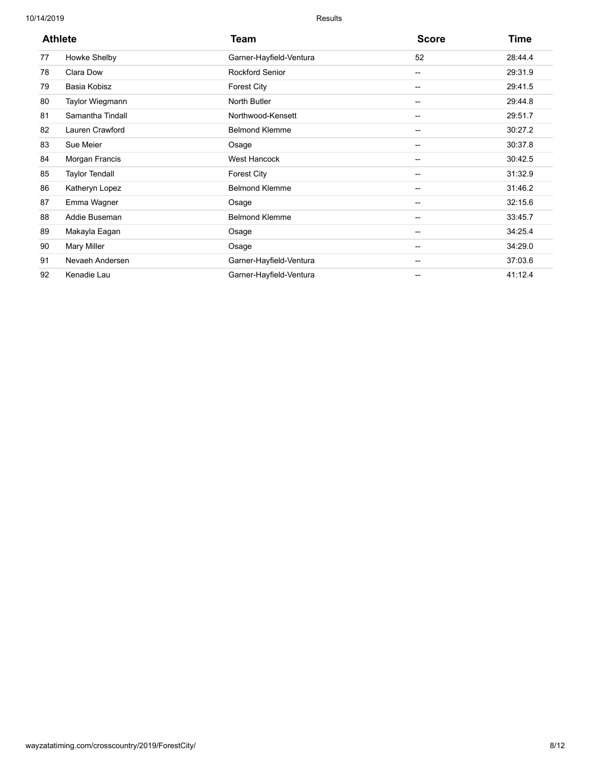| <b>Athlete</b> |                       | Team                    | <b>Score</b>             | <b>Time</b> |  |
|----------------|-----------------------|-------------------------|--------------------------|-------------|--|
| 77             | Howke Shelby          | Garner-Hayfield-Ventura | 52                       | 28:44.4     |  |
| 78             | Clara Dow             | <b>Rockford Senior</b>  | --                       | 29:31.9     |  |
| 79             | Basia Kobisz          | Forest City             | $\overline{\phantom{a}}$ | 29:41.5     |  |
| 80             | Taylor Wiegmann       | North Butler            | --                       | 29:44.8     |  |
| 81             | Samantha Tindall      | Northwood-Kensett       | $\overline{\phantom{a}}$ | 29:51.7     |  |
| 82             | Lauren Crawford       | <b>Belmond Klemme</b>   | $\hspace{0.05cm}$        | 30:27.2     |  |
| 83             | Sue Meier             | Osage                   | $\overline{\phantom{a}}$ | 30:37.8     |  |
| 84             | Morgan Francis        | <b>West Hancock</b>     | $\overline{\phantom{a}}$ | 30:42.5     |  |
| 85             | <b>Taylor Tendall</b> | Forest City             | $\overline{\phantom{a}}$ | 31:32.9     |  |
| 86             | Katheryn Lopez        | <b>Belmond Klemme</b>   | --                       | 31:46.2     |  |
| 87             | Emma Wagner           | Osage                   | --                       | 32:15.6     |  |
| 88             | Addie Buseman         | <b>Belmond Klemme</b>   | $\hspace{0.05cm}$        | 33:45.7     |  |
| 89             | Makayla Eagan         | Osage                   | --                       | 34:25.4     |  |
| 90             | <b>Mary Miller</b>    | Osage                   | --                       | 34:29.0     |  |
| 91             | Nevaeh Andersen       | Garner-Hayfield-Ventura | $\hspace{0.05cm}$        | 37:03.6     |  |
| 92             | Kenadie Lau           | Garner-Hayfield-Ventura | --                       | 41:12.4     |  |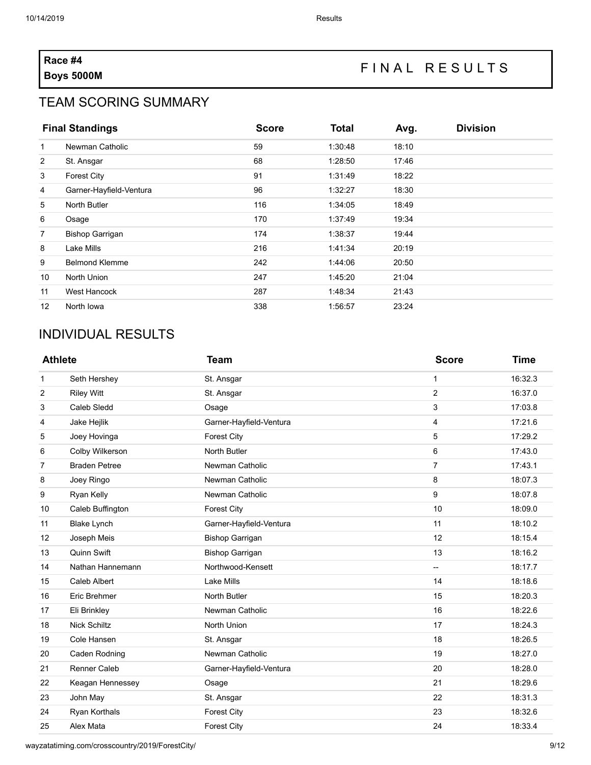# **Race #4**

## **Boys 5000M**<br>**Boys 5000M**

#### TEAM SCORING SUMMARY

|                | <b>Final Standings</b>  | <b>Score</b> | <b>Total</b> | Avg.  | <b>Division</b> |
|----------------|-------------------------|--------------|--------------|-------|-----------------|
| 1              | Newman Catholic         | 59           | 1:30:48      | 18:10 |                 |
| $\overline{2}$ | St. Ansgar              | 68           | 1:28:50      | 17:46 |                 |
| 3              | <b>Forest City</b>      | 91           | 1:31:49      | 18:22 |                 |
| $\overline{4}$ | Garner-Hayfield-Ventura | 96           | 1:32:27      | 18:30 |                 |
| 5              | North Butler            | 116          | 1:34:05      | 18:49 |                 |
| 6              | Osage                   | 170          | 1:37:49      | 19:34 |                 |
| $\overline{7}$ | <b>Bishop Garrigan</b>  | 174          | 1:38:37      | 19:44 |                 |
| 8              | Lake Mills              | 216          | 1:41:34      | 20:19 |                 |
| 9              | <b>Belmond Klemme</b>   | 242          | 1:44:06      | 20:50 |                 |
| 10             | North Union             | 247          | 1:45:20      | 21:04 |                 |
| 11             | West Hancock            | 287          | 1:48:34      | 21:43 |                 |
| 12             | North Iowa              | 338          | 1:56:57      | 23:24 |                 |

### INDIVIDUAL RESULTS

| <b>Athlete</b> |                      | Team                    | <b>Score</b>             | <b>Time</b> |
|----------------|----------------------|-------------------------|--------------------------|-------------|
| 1              | Seth Hershey         | St. Ansgar              | 1                        | 16:32.3     |
| 2              | <b>Riley Witt</b>    | St. Ansgar              | $\overline{c}$           | 16:37.0     |
| 3              | Caleb Sledd          | Osage                   | 3                        | 17:03.8     |
| 4              | Jake Hejlik          | Garner-Hayfield-Ventura | 4                        | 17:21.6     |
| 5              | Joey Hovinga         | <b>Forest City</b>      | 5                        | 17:29.2     |
| 6              | Colby Wilkerson      | <b>North Butler</b>     | 6                        | 17:43.0     |
| 7              | <b>Braden Petree</b> | Newman Catholic         | $\overline{7}$           | 17:43.1     |
| 8              | Joey Ringo           | Newman Catholic         | 8                        | 18:07.3     |
| 9              | Ryan Kelly           | Newman Catholic         | 9                        | 18:07.8     |
| 10             | Caleb Buffington     | <b>Forest City</b>      | 10                       | 18:09.0     |
| 11             | <b>Blake Lynch</b>   | Garner-Hayfield-Ventura | 11                       | 18:10.2     |
| 12             | Joseph Meis          | <b>Bishop Garrigan</b>  | 12                       | 18:15.4     |
| 13             | Quinn Swift          | <b>Bishop Garrigan</b>  | 13                       | 18:16.2     |
| 14             | Nathan Hannemann     | Northwood-Kensett       | $\overline{\phantom{a}}$ | 18:17.7     |
| 15             | Caleb Albert         | <b>Lake Mills</b>       | 14                       | 18:18.6     |
| 16             | Eric Brehmer         | <b>North Butler</b>     | 15                       | 18:20.3     |
| 17             | Eli Brinkley         | Newman Catholic         | 16                       | 18:22.6     |
| 18             | <b>Nick Schiltz</b>  | North Union             | 17                       | 18:24.3     |
| 19             | Cole Hansen          | St. Ansgar              | 18                       | 18:26.5     |
| 20             | Caden Rodning        | Newman Catholic         | 19                       | 18:27.0     |
| 21             | <b>Renner Caleb</b>  | Garner-Hayfield-Ventura | 20                       | 18:28.0     |
| 22             | Keagan Hennessey     | Osage                   | 21                       | 18:29.6     |
| 23             | John May             | St. Ansgar              | 22                       | 18:31.3     |
| 24             | Ryan Korthals        | <b>Forest City</b>      | 23                       | 18:32.6     |
| 25             | Alex Mata            | <b>Forest City</b>      | 24                       | 18:33.4     |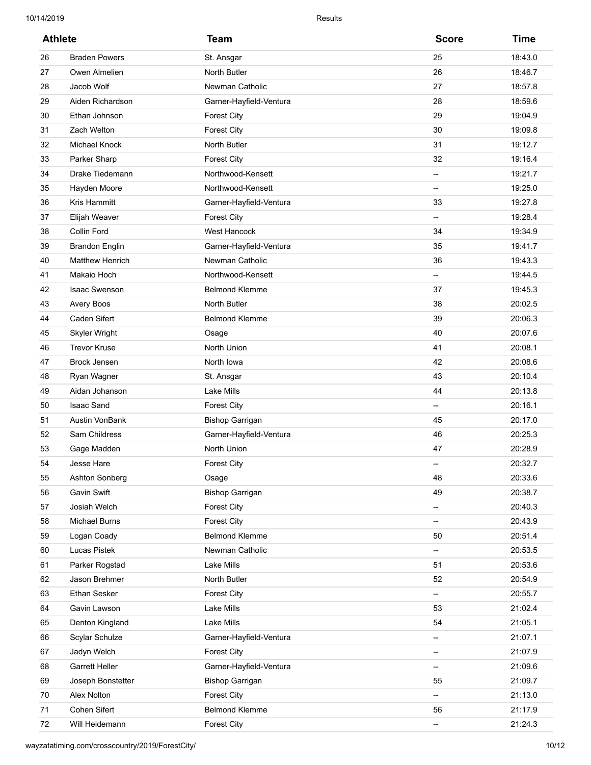| <b>Athlete</b> |                        | Team                    | <b>Score</b>             | <b>Time</b> |
|----------------|------------------------|-------------------------|--------------------------|-------------|
| 26             | <b>Braden Powers</b>   | St. Ansgar              | 25                       | 18:43.0     |
| 27             | Owen Almelien          | North Butler            | 26                       | 18:46.7     |
| 28             | Jacob Wolf             | Newman Catholic         | 27                       | 18:57.8     |
| 29             | Aiden Richardson       | Garner-Hayfield-Ventura | 28                       | 18:59.6     |
| 30             | Ethan Johnson          | <b>Forest City</b>      | 29                       | 19:04.9     |
| 31             | Zach Welton            | <b>Forest City</b>      | 30                       | 19:09.8     |
| 32             | <b>Michael Knock</b>   | North Butler            | 31                       | 19:12.7     |
| 33             | Parker Sharp           | <b>Forest City</b>      | 32                       | 19:16.4     |
| 34             | Drake Tiedemann        | Northwood-Kensett       | $\overline{\phantom{a}}$ | 19:21.7     |
| 35             | Hayden Moore           | Northwood-Kensett       | $\overline{\phantom{a}}$ | 19:25.0     |
| 36             | Kris Hammitt           | Garner-Hayfield-Ventura | 33                       | 19:27.8     |
| 37             | Elijah Weaver          | <b>Forest City</b>      | $\overline{\phantom{a}}$ | 19:28.4     |
| 38             | Collin Ford            | West Hancock            | 34                       | 19:34.9     |
| 39             | <b>Brandon Englin</b>  | Garner-Hayfield-Ventura | 35                       | 19:41.7     |
| 40             | <b>Matthew Henrich</b> | Newman Catholic         | 36                       | 19:43.3     |
| 41             | Makaio Hoch            | Northwood-Kensett       | $\overline{\phantom{a}}$ | 19:44.5     |
| 42             | <b>Isaac Swenson</b>   | <b>Belmond Klemme</b>   | 37                       | 19:45.3     |
| 43             | Avery Boos             | North Butler            | 38                       | 20:02.5     |
| 44             | Caden Sifert           | <b>Belmond Klemme</b>   | 39                       | 20:06.3     |
| 45             | Skyler Wright          | Osage                   | 40                       | 20:07.6     |
| 46             | <b>Trevor Kruse</b>    | North Union             | 41                       | 20:08.1     |
| 47             | <b>Brock Jensen</b>    | North Iowa              | 42                       | 20:08.6     |
| 48             | Ryan Wagner            | St. Ansgar              | 43                       | 20:10.4     |
| 49             | Aidan Johanson         | Lake Mills              | 44                       | 20:13.8     |
| 50             | <b>Isaac Sand</b>      | <b>Forest City</b>      | $\overline{\phantom{a}}$ | 20:16.1     |
| 51             | <b>Austin VonBank</b>  | <b>Bishop Garrigan</b>  | 45                       | 20:17.0     |
| 52             | Sam Childress          | Garner-Hayfield-Ventura | 46                       | 20:25.3     |
| 53             | Gage Madden            | North Union             | 47                       | 20:28.9     |
| 54             | Jesse Hare             | Forest City             | $\overline{\phantom{a}}$ | 20:32.7     |
| 55             | Ashton Sonberg         | Osage                   | 48                       | 20:33.6     |
| 56             | Gavin Swift            | <b>Bishop Garrigan</b>  | 49                       | 20:38.7     |
| 57             | Josiah Welch           | <b>Forest City</b>      | $\overline{\phantom{a}}$ | 20:40.3     |
| 58             | <b>Michael Burns</b>   | <b>Forest City</b>      | $\overline{\phantom{a}}$ | 20:43.9     |
| 59             | Logan Coady            | <b>Belmond Klemme</b>   | 50                       | 20:51.4     |
| 60             | Lucas Pistek           | Newman Catholic         | $\overline{\phantom{a}}$ | 20:53.5     |
| 61             | Parker Rogstad         | Lake Mills              | 51                       | 20:53.6     |
| 62             | Jason Brehmer          | North Butler            | 52                       | 20:54.9     |
| 63             | Ethan Sesker           | <b>Forest City</b>      | $\overline{\phantom{a}}$ | 20:55.7     |
| 64             | Gavin Lawson           | Lake Mills              | 53                       | 21:02.4     |
| 65             | Denton Kingland        | Lake Mills              | 54                       | 21:05.1     |
| 66             | Scylar Schulze         | Garner-Hayfield-Ventura | $\overline{\phantom{a}}$ | 21:07.1     |
| 67             | Jadyn Welch            | <b>Forest City</b>      | --                       | 21:07.9     |
| 68             | <b>Garrett Heller</b>  | Garner-Hayfield-Ventura | $\overline{\phantom{a}}$ | 21:09.6     |
| 69             | Joseph Bonstetter      | <b>Bishop Garrigan</b>  | 55                       | 21:09.7     |
| 70             | Alex Nolton            | <b>Forest City</b>      | $\overline{\phantom{a}}$ | 21:13.0     |
| 71             | Cohen Sifert           | <b>Belmond Klemme</b>   | 56                       | 21:17.9     |
| 72             | Will Heidemann         | <b>Forest City</b>      | --                       | 21:24.3     |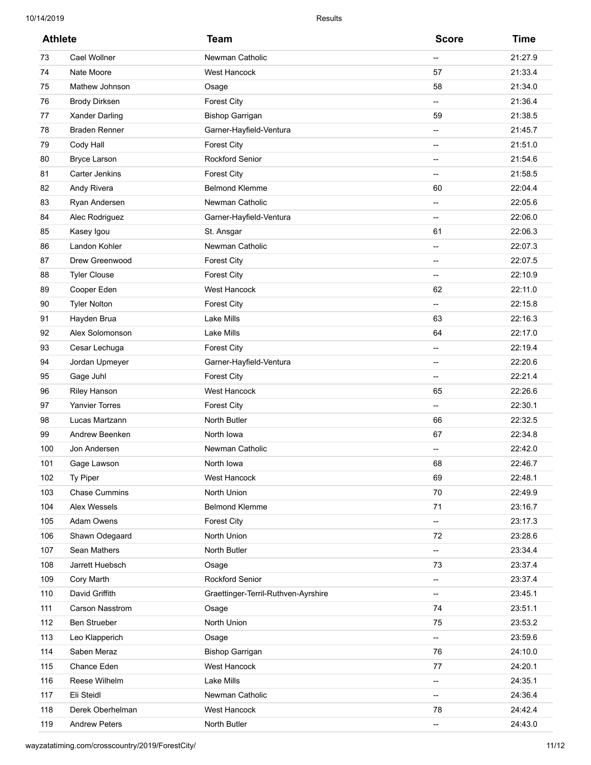| <b>Athlete</b> |                       | <b>Team</b>                         | <b>Score</b>             | <b>Time</b> |
|----------------|-----------------------|-------------------------------------|--------------------------|-------------|
| 73             | <b>Cael Wollner</b>   | Newman Catholic                     | $\overline{\phantom{a}}$ | 21:27.9     |
| 74             | Nate Moore            | West Hancock                        | 57                       | 21:33.4     |
| 75             | Mathew Johnson        | Osage                               | 58                       | 21:34.0     |
| 76             | <b>Brody Dirksen</b>  | <b>Forest City</b>                  | $\overline{\phantom{a}}$ | 21:36.4     |
| 77             | <b>Xander Darling</b> | <b>Bishop Garrigan</b>              | 59                       | 21:38.5     |
| 78             | <b>Braden Renner</b>  | Garner-Hayfield-Ventura             | $\overline{\phantom{a}}$ | 21:45.7     |
| 79             | Cody Hall             | <b>Forest City</b>                  | $\overline{\phantom{a}}$ | 21:51.0     |
| 80             | <b>Bryce Larson</b>   | <b>Rockford Senior</b>              | $\overline{\phantom{a}}$ | 21:54.6     |
| 81             | <b>Carter Jenkins</b> | <b>Forest City</b>                  | $\overline{\phantom{a}}$ | 21:58.5     |
| 82             | Andy Rivera           | <b>Belmond Klemme</b>               | 60                       | 22:04.4     |
| 83             | Ryan Andersen         | Newman Catholic                     | $\overline{\phantom{a}}$ | 22:05.6     |
| 84             | Alec Rodriguez        | Garner-Hayfield-Ventura             | $\overline{\phantom{a}}$ | 22:06.0     |
| 85             | Kasey Igou            | St. Ansgar                          | 61                       | 22:06.3     |
| 86             | Landon Kohler         | Newman Catholic                     | $\overline{\phantom{a}}$ | 22:07.3     |
| 87             | Drew Greenwood        | <b>Forest City</b>                  | $\overline{\phantom{a}}$ | 22:07.5     |
| 88             | <b>Tyler Clouse</b>   | <b>Forest City</b>                  | $\overline{\phantom{a}}$ | 22:10.9     |
| 89             | Cooper Eden           | <b>West Hancock</b>                 | 62                       | 22:11.0     |
| 90             | <b>Tyler Nolton</b>   | <b>Forest City</b>                  | $\overline{\phantom{a}}$ | 22:15.8     |
| 91             | Hayden Brua           | <b>Lake Mills</b>                   | 63                       | 22:16.3     |
| 92             | Alex Solomonson       | <b>Lake Mills</b>                   | 64                       | 22:17.0     |
| 93             | Cesar Lechuga         | <b>Forest City</b>                  | $\overline{\phantom{a}}$ | 22:19.4     |
| 94             | Jordan Upmeyer        | Garner-Hayfield-Ventura             | $\overline{\phantom{a}}$ | 22:20.6     |
| 95             | Gage Juhl             | <b>Forest City</b>                  | $\overline{\phantom{a}}$ | 22:21.4     |
| 96             | <b>Riley Hanson</b>   | <b>West Hancock</b>                 | 65                       | 22:26.6     |
| 97             | <b>Yanvier Torres</b> | <b>Forest City</b>                  | $\overline{\phantom{a}}$ | 22:30.1     |
| 98             | Lucas Martzann        | North Butler                        | 66                       | 22:32.5     |
| 99             | Andrew Beenken        | North Iowa                          | 67                       | 22:34.8     |
| 100            | Jon Andersen          | Newman Catholic                     | $\overline{\phantom{0}}$ | 22:42.0     |
| 101            | Gage Lawson           | North Iowa                          | 68                       | 22:46.7     |
| 102            | Ty Piper              | West Hancock                        | 69                       | 22:48.1     |
| 103            | <b>Chase Cummins</b>  | North Union                         | 70                       | 22:49.9     |
| 104            | Alex Wessels          | <b>Belmond Klemme</b>               | 71                       | 23:16.7     |
| 105            | Adam Owens            | <b>Forest City</b>                  | --                       | 23:17.3     |
| 106            | Shawn Odegaard        | North Union                         | 72                       | 23:28.6     |
| 107            | Sean Mathers          | North Butler                        | --                       | 23:34.4     |
| 108            | Jarrett Huebsch       | Osage                               | 73                       | 23:37.4     |
| 109            | Cory Marth            | Rockford Senior                     | --                       | 23:37.4     |
| 110            | David Griffith        | Graettinger-Terril-Ruthven-Ayrshire | $\overline{\phantom{a}}$ | 23:45.1     |
| 111            | Carson Nasstrom       | Osage                               | 74                       | 23:51.1     |
| 112            | Ben Strueber          | North Union                         | 75                       | 23:53.2     |
| 113            | Leo Klapperich        | Osage                               | --                       | 23:59.6     |
| 114            | Saben Meraz           | <b>Bishop Garrigan</b>              | 76                       | 24:10.0     |
| 115            | Chance Eden           | West Hancock                        | 77                       | 24:20.1     |
| 116            | Reese Wilhelm         | Lake Mills                          | --                       | 24:35.1     |
| 117            | Eli Steidl            | Newman Catholic                     | --                       | 24:36.4     |
| 118            | Derek Oberhelman      | <b>West Hancock</b>                 | 78                       | 24:42.4     |
| 119            | <b>Andrew Peters</b>  | North Butler                        | --                       | 24:43.0     |